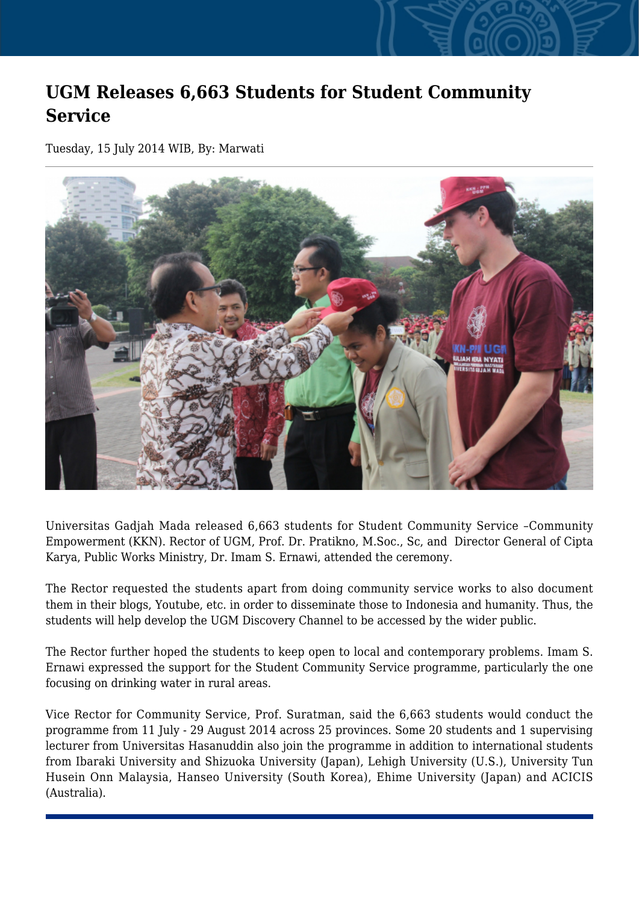## **UGM Releases 6,663 Students for Student Community Service**

Tuesday, 15 July 2014 WIB, By: Marwati



Universitas Gadjah Mada released 6,663 students for Student Community Service –Community Empowerment (KKN). Rector of UGM, Prof. Dr. Pratikno, M.Soc., Sc, and Director General of Cipta Karya, Public Works Ministry, Dr. Imam S. Ernawi, attended the ceremony.

The Rector requested the students apart from doing community service works to also document them in their blogs, Youtube, etc. in order to disseminate those to Indonesia and humanity. Thus, the students will help develop the UGM Discovery Channel to be accessed by the wider public.

The Rector further hoped the students to keep open to local and contemporary problems. Imam S. Ernawi expressed the support for the Student Community Service programme, particularly the one focusing on drinking water in rural areas.

Vice Rector for Community Service, Prof. Suratman, said the 6,663 students would conduct the programme from 11 July - 29 August 2014 across 25 provinces. Some 20 students and 1 supervising lecturer from Universitas Hasanuddin also join the programme in addition to international students from Ibaraki University and Shizuoka University (Japan), Lehigh University (U.S.), University Tun Husein Onn Malaysia, Hanseo University (South Korea), Ehime University (Japan) and ACICIS (Australia).